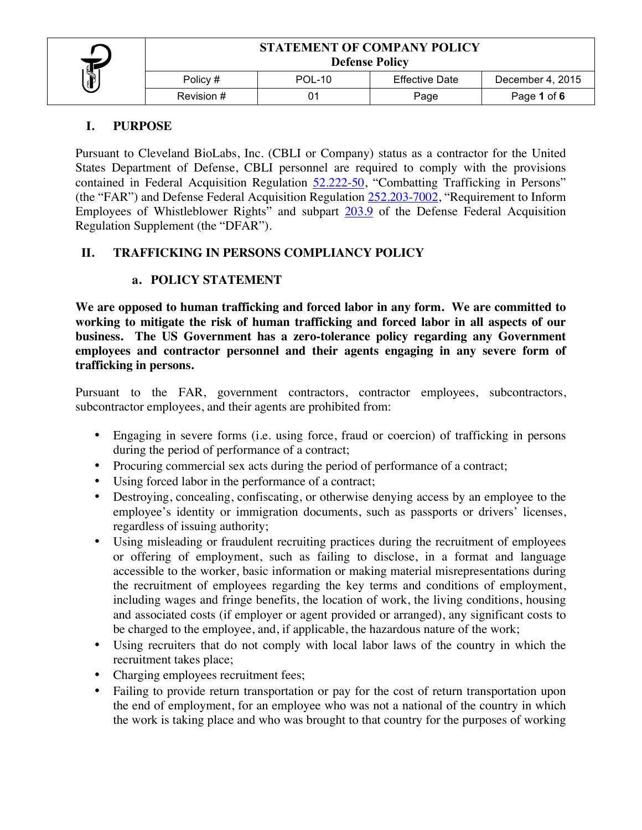## **I. PURPOSE**

Pursuant to Cleveland BioLabs, Inc. (CBLI or Company) status as a contractor for the United States Department of Defense, CBLI personnel are required to comply with the provisions contained in Federal Acquisition Regulation 52.222-50, "Combatting Trafficking in Persons" (the "FAR") and Defense Federal Acquisition Regulation  $252.203-7002$ , "Requirement to Inform Employees of Whistleblower Rights" and subpart 203.9 of the Defense Federal Acquisition Regulation Supplement (the "DFAR").

# **II. TRAFFICKING IN PERSONS COMPLIANCY POLICY**

## **a. POLICY STATEMENT**

**We are opposed to human trafficking and forced labor in any form. We are committed to working to mitigate the risk of human trafficking and forced labor in all aspects of our business. The US Government has a zero-tolerance policy regarding any Government employees and contractor personnel and their agents engaging in any severe form of trafficking in persons.** 

Pursuant to the FAR, government contractors, contractor employees, subcontractors, subcontractor employees, and their agents are prohibited from:

- Engaging in severe forms (i.e. using force, fraud or coercion) of trafficking in persons during the period of performance of a contract;
- Procuring commercial sex acts during the period of performance of a contract;
- Using forced labor in the performance of a contract;
- Destroying, concealing, confiscating, or otherwise denying access by an employee to the employee's identity or immigration documents, such as passports or drivers' licenses, regardless of issuing authority;
- Using misleading or fraudulent recruiting practices during the recruitment of employees or offering of employment, such as failing to disclose, in a format and language accessible to the worker, basic information or making material misrepresentations during the recruitment of employees regarding the key terms and conditions of employment, including wages and fringe benefits, the location of work, the living conditions, housing and associated costs (if employer or agent provided or arranged), any significant costs to be charged to the employee, and, if applicable, the hazardous nature of the work;
- Using recruiters that do not comply with local labor laws of the country in which the recruitment takes place;
- Charging employees recruitment fees;
- Failing to provide return transportation or pay for the cost of return transportation upon the end of employment, for an employee who was not a national of the country in which the work is taking place and who was brought to that country for the purposes of working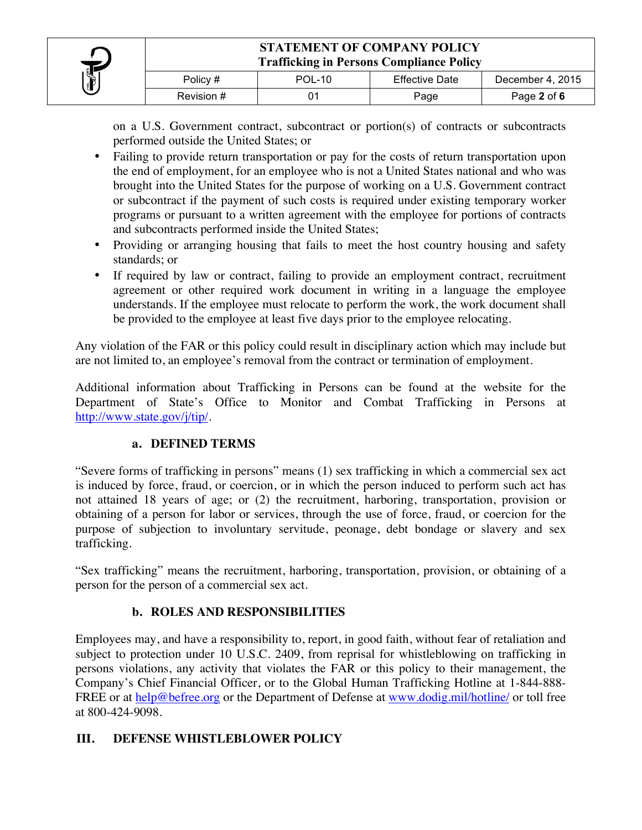

on a U.S. Government contract, subcontract or portion(s) of contracts or subcontracts performed outside the United States; or

- Failing to provide return transportation or pay for the costs of return transportation upon the end of employment, for an employee who is not a United States national and who was brought into the United States for the purpose of working on a U.S. Government contract or subcontract if the payment of such costs is required under existing temporary worker programs or pursuant to a written agreement with the employee for portions of contracts and subcontracts performed inside the United States;
- Providing or arranging housing that fails to meet the host country housing and safety standards; or
- If required by law or contract, failing to provide an employment contract, recruitment agreement or other required work document in writing in a language the employee understands. If the employee must relocate to perform the work, the work document shall be provided to the employee at least five days prior to the employee relocating.

Any violation of the FAR or this policy could result in disciplinary action which may include but are not limited to, an employee's removal from the contract or termination of employment.

Additional information about Trafficking in Persons can be found at the website for the Department of State's Office to Monitor and Combat Trafficking in Persons at http://www.state.gov/j/tip/.

## **a. DEFINED TERMS**

"Severe forms of trafficking in persons" means (1) sex trafficking in which a commercial sex act is induced by force, fraud, or coercion, or in which the person induced to perform such act has not attained 18 years of age; or (2) the recruitment, harboring, transportation, provision or obtaining of a person for labor or services, through the use of force, fraud, or coercion for the purpose of subjection to involuntary servitude, peonage, debt bondage or slavery and sex trafficking.

"Sex trafficking" means the recruitment, harboring, transportation, provision, or obtaining of a person for the person of a commercial sex act.

## **b. ROLES AND RESPONSIBILITIES**

Employees may, and have a responsibility to, report, in good faith, without fear of retaliation and subject to protection under 10 U.S.C. 2409, from reprisal for whistleblowing on trafficking in persons violations, any activity that violates the FAR or this policy to their management, the Company's Chief Financial Officer, or to the Global Human Trafficking Hotline at 1-844-888- FREE or at help@befree.org or the Department of Defense at www.dodig.mil/hotline/ or toll free at 800-424-9098.

## **III. DEFENSE WHISTLEBLOWER POLICY**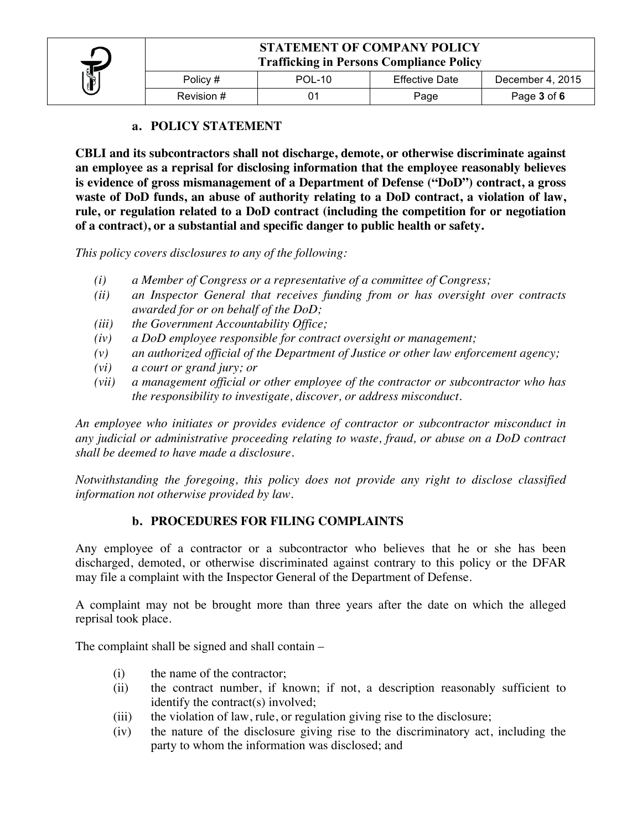

Revision # 01 01 Page Page Page 3 of 6

#### **a. POLICY STATEMENT**

**CBLI and its subcontractors shall not discharge, demote, or otherwise discriminate against an employee as a reprisal for disclosing information that the employee reasonably believes is evidence of gross mismanagement of a Department of Defense ("DoD") contract, a gross waste of DoD funds, an abuse of authority relating to a DoD contract, a violation of law, rule, or regulation related to a DoD contract (including the competition for or negotiation of a contract), or a substantial and specific danger to public health or safety.**

*This policy covers disclosures to any of the following:* 

- *(i) a Member of Congress or a representative of a committee of Congress;*
- *(ii) an Inspector General that receives funding from or has oversight over contracts awarded for or on behalf of the DoD;*
- *(iii) the Government Accountability Office;*
- *(iv) a DoD employee responsible for contract oversight or management;*
- *(v) an authorized official of the Department of Justice or other law enforcement agency;*
- *(vi) a court or grand jury; or*
- *(vii) a management official or other employee of the contractor or subcontractor who has the responsibility to investigate, discover, or address misconduct.*

*An employee who initiates or provides evidence of contractor or subcontractor misconduct in any judicial or administrative proceeding relating to waste, fraud, or abuse on a DoD contract shall be deemed to have made a disclosure.*

*Notwithstanding the foregoing, this policy does not provide any right to disclose classified information not otherwise provided by law.*

### **b. PROCEDURES FOR FILING COMPLAINTS**

Any employee of a contractor or a subcontractor who believes that he or she has been discharged, demoted, or otherwise discriminated against contrary to this policy or the DFAR may file a complaint with the Inspector General of the Department of Defense.

A complaint may not be brought more than three years after the date on which the alleged reprisal took place.

The complaint shall be signed and shall contain –

- (i) the name of the contractor;
- (ii) the contract number, if known; if not, a description reasonably sufficient to identify the contract(s) involved;
- (iii) the violation of law, rule, or regulation giving rise to the disclosure;
- (iv) the nature of the disclosure giving rise to the discriminatory act, including the party to whom the information was disclosed; and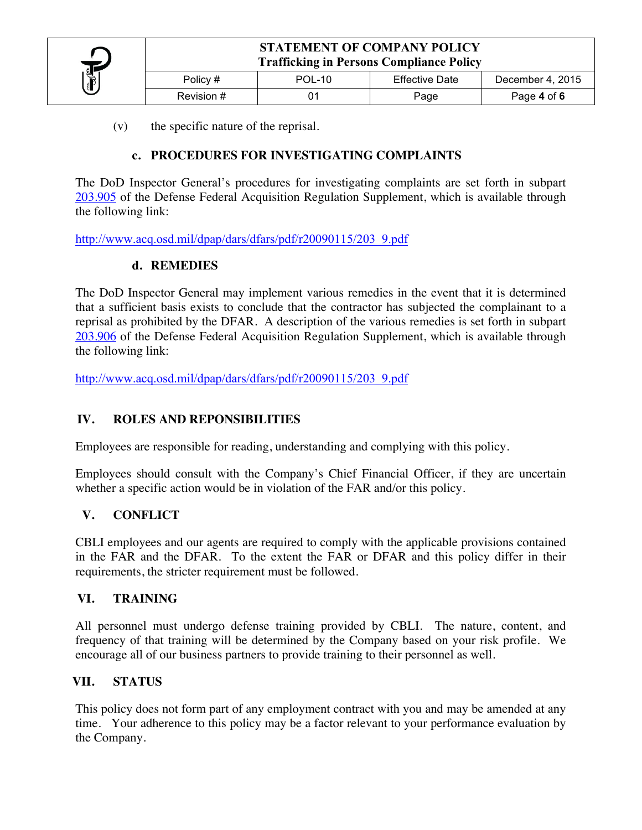

(v) the specific nature of the reprisal.

## **c. PROCEDURES FOR INVESTIGATING COMPLAINTS**

The DoD Inspector General's procedures for investigating complaints are set forth in subpart 203.905 of the Defense Federal Acquisition Regulation Supplement, which is available through the following link:

http://www.acq.osd.mil/dpap/dars/dfars/pdf/r20090115/203\_9.pdf

### **d. REMEDIES**

The DoD Inspector General may implement various remedies in the event that it is determined that a sufficient basis exists to conclude that the contractor has subjected the complainant to a reprisal as prohibited by the DFAR. A description of the various remedies is set forth in subpart 203.906 of the Defense Federal Acquisition Regulation Supplement, which is available through the following link:

http://www.acq.osd.mil/dpap/dars/dfars/pdf/r20090115/203\_9.pdf

#### **IV. ROLES AND REPONSIBILITIES**

Employees are responsible for reading, understanding and complying with this policy.

Employees should consult with the Company's Chief Financial Officer, if they are uncertain whether a specific action would be in violation of the FAR and/or this policy.

#### **V. CONFLICT**

CBLI employees and our agents are required to comply with the applicable provisions contained in the FAR and the DFAR. To the extent the FAR or DFAR and this policy differ in their requirements, the stricter requirement must be followed.

#### **VI. TRAINING**

All personnel must undergo defense training provided by CBLI. The nature, content, and frequency of that training will be determined by the Company based on your risk profile. We encourage all of our business partners to provide training to their personnel as well.

#### **VII. STATUS**

This policy does not form part of any employment contract with you and may be amended at any time. Your adherence to this policy may be a factor relevant to your performance evaluation by the Company.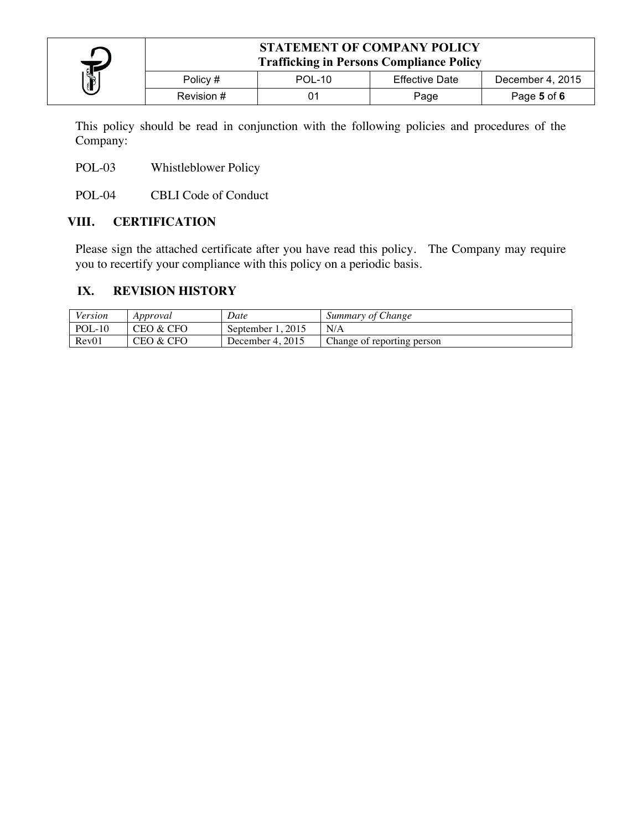

This policy should be read in conjunction with the following policies and procedures of the Company:

POL-03 Whistleblower Policy

POL-04 CBLI Code of Conduct

### **VIII. CERTIFICATION**

Please sign the attached certificate after you have read this policy. The Company may require you to recertify your compliance with this policy on a periodic basis.

### **IX. REVISION HISTORY**

| Version  | Approval  | Date                  | Summary of Change          |
|----------|-----------|-----------------------|----------------------------|
| $POL-10$ | CEO & CFO | . 2015<br>September 1 | N/A                        |
| Rev01    | CEO & CFO | December 4, 2015      | Change of reporting person |